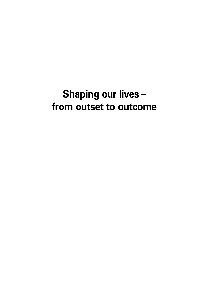# **Shaping our lives – from outset to outcome**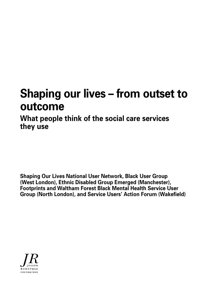# **Shaping our lives – from outset to outcome**

**What people think of the social care services they use**

**Shaping Our Lives National User Network, Black User Group (West London), Ethnic Disabled Group Emerged (Manchester), Footprints and Waltham Forest Black Mental Health Service User Group (North London), and Service Users' Action Forum (Wakefield)**

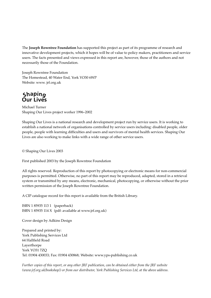The **Joseph Rowntree Foundation** has supported this project as part of its programme of research and innovative development projects, which it hopes will be of value to policy makers, practitioners and service users. The facts presented and views expressed in this report are, however, those of the authors and not necessarily those of the Foundation.

Joseph Rowntree Foundation The Homestead, 40 Water End, York YO30 6WP Website: www. jrf.org.uk

# **Our Lives <sup>S</sup>hapi<sup>n</sup>g**

Michael Turner Shaping Our Lives project worker 1996–2002

Shaping Our Lives is a national research and development project run by service users. It is working to establish a national network of organisations controlled by service users including: disabled people, older people, people with learning difficulties and users and survivors of mental health services. Shaping Our Lives are also working to make links with a wide range of other service users.

© Shaping Our Lives 2003

First published 2003 by the Joseph Rowntree Foundation

All rights reserved. Reproduction of this report by photocopying or electronic means for non-commercial purposes is permitted. Otherwise, no part of this report may be reproduced, adapted, stored in a retrieval system or transmitted by any means, electronic, mechanical, photocopying, or otherwise without the prior written permission of the Joseph Rowntree Foundation.

A CIP catalogue record for this report is available from the British Library.

ISBN 1 85935 113 1 (paperback) ISBN 1 85935 114 X (pdf: available at www.jrf.org.uk)

Cover design by Adkins Design

Prepared and printed by: York Publishing Services Ltd 64 Hallfield Road Layerthorpe York YO31 7ZQ Tel: 01904 430033; Fax: 01904 430868; Website: www.yps-publishing.co.uk

*Further copies of this report, or any other JRF publication, can be obtained either from the JRF website (www.jrf.org.uk/bookshop/) or from our distributor, York Publishing Services Ltd, at the above address.*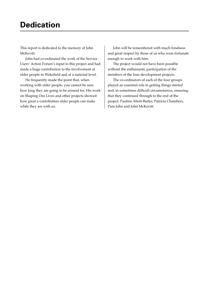# **Dedication**

This report is dedicated to the memory of John McKevitt.

John had co-ordinated the work of the Service Users' Action Forum's input to this project and had made a huge contribution to the involvement of older people in Wakefield and at a national level.

He frequently made the point that, when working with older people, you cannot be sure how long they are going to be around for. His work on Shaping Our Lives and other projects showed how great a contribution older people can make while they are with us.

John will be remembered with much fondness and great respect by those of us who were fortunate enough to work with him.

The project would not have been possible without the enthusiastic participation of the members of the four development projects.

The co-ordinators of each of the four groups played an essential role in getting things started and, in sometimes difficult circumstances, ensuring that they continued through to the end of the project: Pauline Abott-Butler, Patricia Chambers, Pam John and John McKevitt.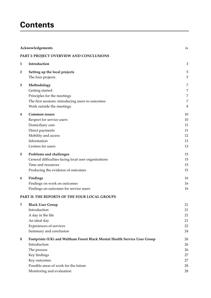# **Contents**

| Acknowledgements        |                                                                           | ix |
|-------------------------|---------------------------------------------------------------------------|----|
|                         | PART I: PROJECT OVERVIEW AND CONCLUSIONS                                  |    |
| $\mathbf{1}$            | Introduction                                                              | 3  |
| $\overline{2}$          | Setting up the local projects                                             | 5  |
|                         | The four projects                                                         | 5  |
| 3                       | Methodology                                                               | 7  |
|                         | Getting started                                                           | 7  |
|                         | Principles for the meetings                                               | 7  |
|                         | The first sessions: introducing users to outcomes                         | 7  |
|                         | Work outside the meetings                                                 | 8  |
| $\overline{\mathbf{4}}$ | <b>Common</b> issues                                                      | 10 |
|                         | Respect for service users                                                 | 10 |
|                         | Domiciliary care                                                          | 11 |
|                         | Direct payments                                                           | 11 |
|                         | Mobility and access                                                       | 12 |
|                         | Information                                                               | 13 |
|                         | Centres for users                                                         | 13 |
| 5                       | Problems and challenges                                                   | 15 |
|                         | General difficulties facing local user organisations                      | 15 |
|                         | Time and resources                                                        | 15 |
|                         | Producing the evidence of outcomes                                        | 15 |
| 6                       | Findings                                                                  | 16 |
|                         | Findings on work on outcomes                                              | 16 |
|                         | Findings on outcomes for service users                                    | 16 |
|                         | PART II: THE REPORTS OF THE FOUR LOCAL GROUPS                             |    |
| 7                       | <b>Black User Group</b>                                                   | 21 |
|                         | Introduction                                                              | 21 |
|                         | A day in the life                                                         | 21 |
|                         | An ideal day                                                              | 21 |
|                         | <b>Experiences of services</b>                                            | 22 |
|                         | Summary and conclusion                                                    | 24 |
| 8                       | Footprints (UK) and Waltham Forest Black Mental Health Service User Group | 26 |
|                         | Introduction                                                              | 26 |
|                         | The process                                                               | 26 |
|                         | Key findings                                                              | 27 |
|                         | Key outcomes                                                              | 27 |
|                         | Possible areas of work for the future                                     | 28 |
|                         | Monitoring and evaluation                                                 | 28 |
|                         |                                                                           |    |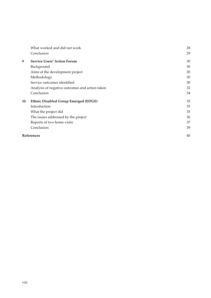|            | What worked and did not work                   | 28 |
|------------|------------------------------------------------|----|
|            | Conclusion                                     | 29 |
| 9          | <b>Service Users' Action Forum</b>             | 30 |
|            | Background                                     | 30 |
|            | Aims of the development project                | 30 |
|            | Methodology                                    | 30 |
|            | Service outcomes identified                    | 30 |
|            | Analysis of negative outcomes and action taken | 32 |
|            | Conclusion                                     | 34 |
| 10         | <b>Ethnic Disabled Group Emerged (EDGE)</b>    | 35 |
|            | Introduction                                   | 35 |
|            | What the project did                           | 35 |
|            | The issues addressed by the project            | 36 |
|            | Reports of two home visits                     | 37 |
|            | Conclusion                                     | 39 |
| References |                                                | 40 |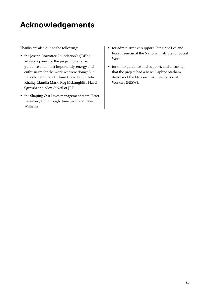Thanks are also due to the following:

- the Joseph Rowntree Foundation's (JRF's) advisory panel for the project for advice, guidance and, most importantly, energy and enthusiasm for the work we were doing: Sue Balloch, Don Brand, Claire Crawley, Simeela Khaliq, Claudia Mark, Reg McLaughlin, Hazel Qureshi and Alex O'Neil of JRF
- the Shaping Our Lives management team: Peter Beresford, Phil Brough, June Sadd and Peter Williams
- for administrative support: Fung-Yee Lee and Rose Freeman of the National Institute for Social Work
- for other guidance and support, and ensuring that the project had a base: Daphne Statham, director of the National Institute for Social Workers (NISW).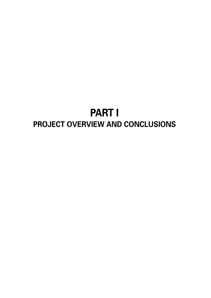# **PART I PROJECT OVERVIEW AND CONCLUSIONS**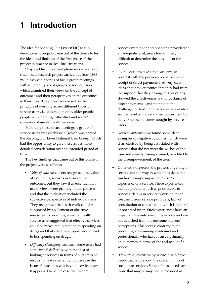The idea for Shaping Our Lives (SOL) to run development projects came out of the desire to test the ideas and findings of the first phase of the project in practice in 'real-life' situations.

Shaping Our Lives' first phase was a relatively small-scale research project carried out from 1996– 98. It involved a series of focus group meetings with different types of groups of service users, which examined their views on the concept of outcomes and their perspectives on the outcomes in their lives. The project was based on the principle of working across different types of service users, i.e. disabled people, older people, people with learning difficulties and users/ survivors of mental health services.

Following these focus meetings, a group of service users was established (which was named the Shaping Our Lives National User Group) which had the opportunity to give these issues more detailed consideration over an extended period of time.

The key findings that came out of this phase of the project were as follows.

- *Value of outcomes*: users recognised the value of evaluating services in terms of their outcomes, but they saw it as essential that users' views were primary in this process and that the evaluation included the subjective perspectives of individual users. They recognised that such work could be supported by an element of objective measures, for example, a mental health service user suggested that effective services could be measured in relation to spending on drugs and that effective support would lead to less spending on drugs.
- *Difficulty identifying outcomes*: some users had some initial difficulty with the idea of looking at services in terms of outcomes or results. This was certainly not because the issue of outcomes was beyond service users. It appeared to be the case that, where

services were poor and not being provided at an adequate level, users found it very difficult to determine the outcome of the service.

- *Outcomes for users of direct payments*: in contrast with the previous point, people in receipt of direct payments had very clear ideas about the outcomes that they had from the support that they arranged. This clearly showed the effectiveness and importance of direct payments – and pointed to the challenge for traditional services to provide a similar level of choice and empowerment by delivering the outcomes sought by service users.
- *Negative outcomes*: we found some clear examples of negative outcomes, which were characterised by being associated with services that did not meet the wishes of the user and usually disempowered, or added to the disempowerment, of the user.
- *Outcomes and process*: the process of getting a service and the way in which it is delivered can have a major impact on a user's experience of a service. These experiences include problems such as poor access to services, delays in service provision, poor treatment from service providers, lack of consultation or consultation which is ignored or not acted upon. Such experiences have an impact on the outcome of the service and are not detached from the outcome in users' perceptions. This view is contrary to the prevailing view among academics and professionals, who have focused primarily on outcomes in terms of the end result of a service.
- *A holistic approach*: many service users have needs that fall beyond the current limits of social care services. Some of these needs are those that may or may not be recorded as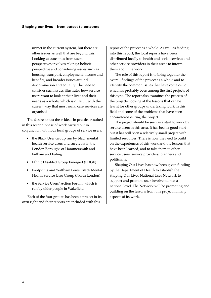unmet in the current system, but there are other issues as well that are beyond this. Looking at outcomes from users' perspectives involves taking a holistic perspective and considering issues such as housing, transport, employment, income and benefits, and broader issues around discrimination and equality. The need to consider such issues illustrates how service users want to look at their lives and their needs as a whole, which is difficult with the current way that most social care services are organised.

The desire to test these ideas in practice resulted in this second phase of work carried out in conjunction with four local groups of service users:

- the Black User Group run by black mental health service users and survivors in the London Boroughs of Hammersmith and Fulham and Ealing
- Ethnic Disabled Group Emerged (EDGE)
- Footprints and Waltham Forest Black Mental Health Service User Group (North London)
- the Service Users' Action Forum, which is run by older people in Wakefield.

Each of the four groups has been a project in its own right and their reports are included with this

report of the project as a whole. As well as feeding into this report, the local reports have been distributed locally to health and social services and other service providers in their areas to inform them about the work.

The role of this report is to bring together the overall findings of the project as a whole and to identify the common issues that have come out of what has probably been among the first projects of this type. The report also examines the process of the projects, looking at the lessons that can be learnt for other groups undertaking work in this field and some of the problems that have been encountered during the project.

The project should be seen as a start to work by service users in this area. It has been a good start but it has still been a relatively small project with limited resources. There is now the need to build on the experiences of this work and the lessons that have been learned, and to take them to other service users, service providers, planners and politicians.

Shaping Our Lives has now been given funding by the Department of Health to establish the Shaping Our Lives National User Network to support and promote user involvement at a national level. The Network will be promoting and building on the lessons from this project in many aspects of its work.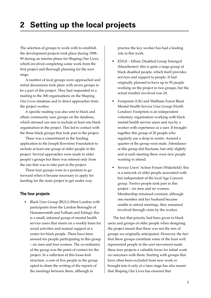The selection of groups to work with to establish the development projects took place during 1998– 99 during an interim phase for Shaping Our Lives, which involved completing some work from the first project and thorough planning for the next stage.

A number of local groups were approached and initial discussions took place with seven groups to be a part of this project. They had responded to a mailing to the 300 organisations on the Shaping Our Lives database and to direct approaches from the project worker.

A specific mailing was also sent to black and ethnic community user groups on the database, which stressed our aim to include at least one black organisation in the project. This led to contact with the three black groups that took part in the project.

There was a commitment in the funding application to the Joseph Rowntree Foundation to include at least one group of older people in the project. Several approaches were made to older people's groups but there was interest only from the one that was to take part in the project.

These four groups were in a position to go forward when it became necessary to apply for funding for the main project to get under way.

# **The four projects**

• Black User Group (BUG) (West London with participants from the London Boroughs of Hammersmith and Fulham and Ealing): this is a small, informal group of mental health service users that meets on a weekly basis for social activities and mutual support at a centre for black people. There have been around ten people participating in this group – six men and four women. The co-ordinator of the group was the point of contact for the project. In a reflection of this loose-knit structure, a core of five people in the group opted to share the writing of the reports of the meetings between them, although in

practice the key-worker has had a leading role in this work.

- EDGE Ethnic Disabled Group Emerged (Manchester): this is quite a large group of black disabled people, which itself provides services and support to people. It had originally planned to have up to 50 people working on the project in two groups, but the actual number involved was 24.
- Footprints (UK) and Waltham Forest Black Mental Health Service User Group (North London): Footprints is an independent voluntary organisation working with black mental health service users and run by a worker with experience as a user. It brought together this group of 20 people who regularly use a drop-in centre. Around a quarter of the group were male. Attendance at this group did fluctuate, but only slightly and at each meeting there were new people wanting to attend.
- Service Users' Action Forum (Wakefield): this is a network of older people associated with but independent of the local Age Concern group. Twelve people took part in this project – six men and six women. Membership remained constant; although one member and her husband became unable to attend meetings, they remained involved through visits by the worker.

The fact that priority had been given to black users and groups of older people when designing the project meant that there was not the mix of groups we originally anticipated. However, the fact that these groups constitute some of the least well represented people in the user movement made these four projects a valuable focus for initial work on outcomes with them. Starting with groups that have often been excluded from new work or brought into it only at a later stage has also meant that Shaping Our Lives has ensured that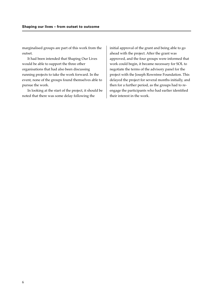marginalised groups are part of this work from the outset.

It had been intended that Shaping Our Lives would be able to support the three other organisations that had also been discussing running projects to take the work forward. In the event, none of the groups found themselves able to pursue the work.

In looking at the start of the project, it should be noted that there was some delay following the

initial approval of the grant and being able to go ahead with the project. After the grant was approved, and the four groups were informed that work could begin, it became necessary for SOL to negotiate the terms of the advisory panel for the project with the Joseph Rowntree Foundation. This delayed the project for several months initially, and then for a further period, as the groups had to reengage the participants who had earlier identified their interest in the work.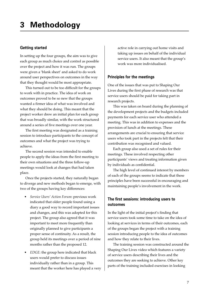# **Getting started**

In setting up the four groups, the aim was to give each group as much choice and control as possible over the project and how it was run. The groups were given a 'blank sheet' and asked to do work around user perspectives on outcomes in the way that they thought would be most appropriate.

This turned out to be too difficult for the groups to work with in practice. The idea of work on outcomes proved to be so new that the groups wanted a firmer idea of what was involved and what they should be doing. This meant that the project worker drew an initial plan for each group that was broadly similar, with the work structured around a series of five meetings over one year.

The first meeting was designated as a training session to introduce participants to the concept of outcomes and what the project was trying to achieve.

The second session was intended to enable people to apply the ideas from the first meeting to their own situations and the three follow-up meetings would look at changes that had taken place.

Once the projects started, they naturally began to diverge and new methods began to emerge, with two of the groups having key differences:

- *Service Users' Action Forum*: previous work indicated that older people found using a diary a good way to record important issues and changes, and this was adopted for this project. The group also agreed that it was important to meet more frequently than originally planned to give participants a proper sense of continuity. As a result, the group held its meetings over a period of nine months rather than the proposed 12.
- *EDGE*: the group here indicated that black users would prefer to discuss issues individually rather than in a group. This meant that the worker here has played a very

active role in carrying out home visits and taking up issues on behalf of the individual service users. It also meant that the group's work was more individualised.

# **Principles for the meetings**

One of the issues that was put to Shaping Our Lives during the first phase of research was that service users should be paid for taking part in research projects.

This was taken on board during the planning of the development projects and the budgets included payments for each service user who attended a meeting. This was in addition to expenses and the provision of lunch at the meetings. These arrangements are crucial to ensuring that service users who took part in the projects felt that their contribution was recognised and valued.

Each group also used a set of rules for their meetings. These involved respecting other participants' views and treating information given by individuals as confidential.

The high level of continued interest by members of each of the groups seems to indicate that these principles have been successful in encouraging and maintaining people's involvement in the work.

# **The first sessions: introducing users to outcomes**

In the light of the initial project's finding that service users took some time to take on the idea of looking at services in terms of their outcomes, each of the groups began the project with a training session introducing people to the idea of outcomes and how they relate to their lives.

The training session was constructed around the Shaping Our Lives video which features a variety of service users describing their lives and the outcomes they are seeking to achieve. Other key parts of the training included exercises in looking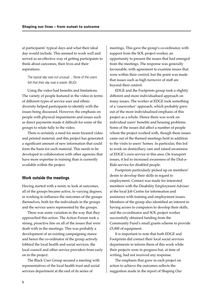at participants' typical days and what their ideal day would include. This seemed to work well and served as an effective way of getting participants to think about outcomes, their lives and their aspirations.

The typical day was not unusual ... None of the users felt that their day was a waste. (BUG)

Using the video had benefits and limitations. The variety of people featured in the video in terms of different types of service user and ethnic diversity helped participants to identify with the issues being discussed. However, the emphasis on people with physical impairments and issues such as direct payments made it difficult for some of the groups to relate fully to the video.

There is certainly a need for more focused video and printed material, and this project has generated a significant amount of new information that could form the basis for such material. This needs to be developed in collaboration with other agencies that have more expertise in training than is currently available within the project.

#### **Work outside the meetings**

Having started with a remit, to look at outcomes, all of the groups became active, to varying degrees, in working to influence the outcomes of the groups themselves, both for the individuals in the groups and the service users represented by the groups.

There was some variation in the way that they approached this action. The Action Forum took a strong, proactive line on all of the issues that were dealt with in the meetings. This was probably a development of an existing campaigning stance and hence the co-ordinator of the group actively lobbied the local health and social services, the local council and other service providers from early on in the project.

The Black User Group secured a meeting with representatives of the local health trust and social services department at the end of its series of

meetings. This gave the group's co-ordinator, with support from the SOL project worker, an opportunity to present the issues that had emerged from the meetings. The response was generally favourable, with agreement to examine issues that were within their control, but the point was made that issues such as high turnover of staff are beyond their control.

EDGE and the Footprints group took a slightly different and more individualised approach on many issues. The worker at EDGE took something of a 'caseworker' approach, which probably grew out of the more individualised emphasis of this project as a whole. Hence there was work on individual users' benefits and housing problems. Some of the issues did affect a number of people whom the project worked with, though these issues came out of the themed meetings held in addition to the visits to users' homes. In particular, this led to work on domiciliary care and raised awareness of EDGE's own service in this area. On transport issues, it led to increased awareness of the Dial-a-Ride service for disabled people.

Footprints particularly picked up on members' desire to develop their skills in regard to employment. Contact was made for interested members with the Disability Employment Adviser at the local Job Centre for information and assistance with training and employment issues. Members of the group also identified an interest in having access to computers to develop their skills, and the co-ordinator and SOL project worker successfully obtained funding from the Community Fund's small grants scheme to provide £5,000 of equipment.

It is important to note that both EDGE and Footprints did contact their local social services departments to inform them of this work while their projects were in progress but, at time of writing, had not received any response.

The emphasis that grew in each project on action to achieve the outcomes reflects the suggestion made in the report of Shaping Our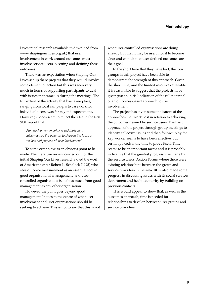Lives initial research (available to download from www.shapingourlives.org.uk) that user involvement in work around outcomes must involve service users in setting and defining those outcomes.

There was an expectation when Shaping Our Lives set up these projects that they would involve some element of action but this was seen very much in terms of supporting participants to deal with issues that came up during the meetings. The full extent of the activity that has taken place, ranging from local campaigns to casework for individual users, was far beyond expectations. However, it does seem to reflect the idea in the first SOL report that:

User involvement in defining and measuring outcomes has the potential to sharpen the focus of the idea and purpose of 'user involvement'.

To some extent, this is an obvious point to be made. The literature review carried out for the initial Shaping Our Lives research noted the work of American writer Robert L. Schalock (1995) who sees outcome measurement as an essential tool in good organisational management, and usercontrolled organisations benefit as much from good management as any other organisation.

However, the point goes beyond good management. It goes to the centre of what user involvement and user organisations should be seeking to achieve. This is not to say that this is not what user-controlled organisations are doing already but that it may be useful for it to become clear and explicit that user-defined outcomes are their goal.

In the short time that they have had, the four groups in this project have been able to demonstrate the strength of this approach. Given the short time, and the limited resources available, it is reasonable to suggest that the projects have given just an initial indication of the full potential of an outcomes-based approach to user involvement.

The project has given some indicators of the approaches that work best in relation to achieving the outcomes desired by service users. The basic approach of the project through group meetings to identify collective issues and then follow up by the key worker seems to have been effective, but certainly needs more time to prove itself. Time seems to be an important factor and it is probably indicative that the greatest progress was made by the Service Users' Action Forum where there were existing relationships between the group and service providers in the area. BUG also made some progress in discussing issues with its social services department and health authority by building on previous contacts.

This would appear to show that, as well as the outcomes approach, time is needed for relationships to develop between user groups and service providers.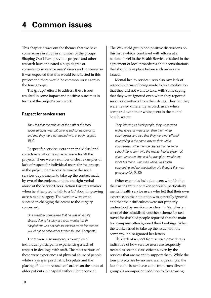This chapter draws out the themes that we have come across in all or in a number of the groups. Shaping Our Lives' previous projects and other research have indicated a high degree of consistency in service users' views and concerns, so it was expected that this would be reflected in this project and there would be common issues across the four groups.

The groups' efforts to address these issues resulted in some impact and positive outcomes in terms of the project's own work.

### **Respect for service users**

They felt that the attitude of the staff at the local social services was patronising and condescending, and that they were not treated with enough respect. (BUG)

Respect for service users at an individual and collective level came up as an issue for all the projects. There were a number of clear examples of lack of respect for individual users for the groups in the project themselves: failure of the social services departments to take up the contact made by two of the projects, and the outright verbal abuse of the Service Users' Action Forum's worker when he attempted to talk to a GP about improving access to his surgery. The worker went on to succeed in changing the access to the surgery concerned.

One member complained that he was physically abused during his stay at a local mental health hospital but was not able to retaliate as he felt that he would not be believed or further abused. (Footprints)

There were also numerous examples of individual participants experiencing a lack of respect in dealings with staff. The most serious of these were experiences of physical abuse of people while staying in psychiatric hospitals and the placing of 'do not resuscitate' orders on the notes of older patients in hospital without their consent.

The Wakefield group had positive discussions on this issue which, combined with efforts at a national level in the Health Service, resulted in the agreement of local procedures about consultations that should take place before such orders are issued.

Mental health service users also saw lack of respect in terms of being made to take medication that they did not want to take, with some saying that they were ignored even when they reported serious side-effects from their drugs. They felt they were treated differently as black users when compared with their white peers in the mental health system.

They felt that, as black people, they were given higher levels of medication than their white counterparts and also that they were not offered counselling in the same way as their white counterparts. One member stated that he and a school friend went into the mental health system at about the same time and he was given medication while his friend, who was white, was given counselling and not medication. He thought this was grossly unfair. (BUG)

Other examples included users who felt that their needs were not taken seriously, particularly mental health service users who felt that their own expertise on their situation was generally ignored and that their difficulties were not properly understood by service providers. In Manchester, users of the subsidised voucher scheme for taxi travel for disabled people reported that the main taxi company often ignored their bookings. When the worker tried to take up the issue with the company, it also ignored her letters.

This lack of respect from service providers is indicative of how service users are frequently treated as second-class citizens, even by the services that are meant to support them. While the four projects are by no means a large sample, the fact that the issues have come from such diverse groups is an important addition to the growing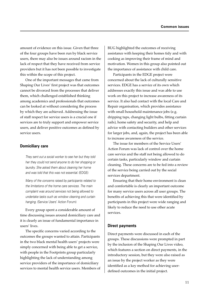amount of evidence on this issue. Given that three of the four groups have been run by black service users, there may also be issues around racism in the lack of respect that they have received from service providers but it has not been possible to investigate this within the scope of this project.

One of the important messages that came from Shaping Our Lives' first project was that outcomes cannot be divorced from the processes that deliver them, which challenged established thinking among academics and professionals that outcomes can be looked at without considering the process by which they are achieved. Addressing the issue of staff respect for service users is a crucial one if services are to truly support and empower service users, and deliver positive outcomes as defined by service users.

#### **Domiciliary care**

They sent out a social worker to see her but they told her they could not send anyone to do her shopping or laundry. She asked them about cleaning her home and was told that this was not essential. (EDGE)

Many of the concerns raised by participants related to the limitations of the home care services. The main complaint was around services not being allowed to undertake tasks such as window cleaning and curtain hanging. (Service Users' Action Forum)

Every group spent a considerable amount of time discussing issues around domiciliary care and it is clearly an issue of fundamental importance in users' lives.

The specific concerns varied according to the outcomes the groups wanted to attain. Participants in the two black mental health users' projects were simply concerned with being able to get a service, with people in the Footprints group particularly highlighting the lack of understanding among service providers of the importance of domiciliary services to mental health service users. Members of BUG highlighted the outcomes of receiving assistance with keeping their homes tidy and with cooking as improving their frame of mind and motivation. Women in this group also pointed out the importance of assistance with child care.

Participants in the EDGE project were concerned about the lack of culturally sensitive services. EDGE has a service of its own which addresses exactly this issue and was able to use work on this project to increase awareness of its service. It also had contact with the local Care and Repair organisation, which provides assistance with small household maintenance jobs (e.g. dripping taps, changing light bulbs, fitting curtain rails), home safety and security, and help and advice with contacting builders and other services for larger jobs, and, again, the project has been able to increase awareness of the service.

The issue for members of the Service Users' Action Forum was lack of control over the home care service and the staff not being allowed to do certain tasks, particularly window and curtain cleaning. These concerns are to be fed into a review of the service being carried out by the social services department.

Ensuring that their home environment is clean and comfortable is clearly an important outcome for many service users across all user groups. The benefits of achieving this that were identified by participants in this project were wide ranging and likely to reduce the need to use other acute services.

#### **Direct payments**

Direct payments were discussed in each of the groups. These discussions were prompted in part by the inclusion of the Shaping Our Lives video, which features a section on direct payments, in the introductory session, but they were also raised as an issue by the project worker as they were identified as a key method for achieving userdefined outcomes in the initial project.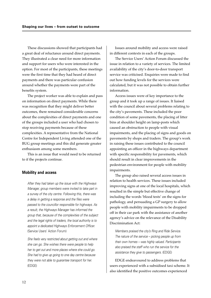These discussions showed that participants had a great deal of reluctance around direct payments. They illustrated a clear need for more information and support for users who were interested in the option. For most of the participants, these meetings were the first time that they had heard of direct payments and there was particular confusion around whether the payments were part of the benefits system.

The project worker was able to explain and pass on information on direct payments. While there was recognition that they might deliver better outcomes, there remained considerable concerns about the complexities of direct payments and one of the groups included a user who had chosen to stop receiving payments because of these complexities. A representative from the National Centre for Independent Living attended one of the BUG group meetings and this did generate greater enthusiasm among some members.

This is an issue that would need to be returned to if the projects continue.

#### **Mobility and access**

After they had taken up the issue with the Highways Manager, group members were invited to take part in a survey of the city centre. Following this, there was a delay in getting a response and the files were passed to the councillor responsible for highways. As a result, the Highways Manager has informed the group that, because of the complexities of the subject and the legal rights of traders, the local authority is to appoint a dedicated Highways Enforcement Officer. (Service Users' Action Forum)

She feels very restricted about getting out and where she can go. She wishes there were people to help her to get out and more places where she could go. She had to give up going to one day centre because they were not able to guarantee transport for her. (EDGE)

Issues around mobility and access were raised in different contexts in each of the groups.

The Service Users' Action Forum discussed the issue in relation to a variety of services. The limited availability of the city's door-to-door transport service was criticised. Enquiries were made to find out how funding levels for the services were calculated, but it was not possible to obtain further information.

Access issues were of key importance to the group and it took up a range of issues. It liaised with the council about several problems relating to the city's pavements. These included the poor condition of some pavements, the placing of litter bins at shoulder height on lamp-posts which caused an obstruction to people with visual impairments, and the placing of signs and goods on pavements by shops and traders. The group's work in raising these issues contributed to the council appointing an officer in the highways department with specific responsibility for pavements, which should result in clear improvements in the pedestrian environment for people with mobility impairments.

The group also raised several access issues in relation to health services. These issues included improving signs at one of the local hospitals, which resulted in the simple but effective change of including the words 'blood tests' on the signs for pathology, and persuading a GP surgery to allow people with mobility impairments to be dropped off in their car park with the assistance of another agency's advice on the relevance of the Disability Discrimination Act:

Members praised the city's Ring and Ride Service. The nature of the service – picking people up from their own homes – was highly valued. Participants also praised the staff who run the service for the assistance they give to passengers. (EDGE)

EDGE endeavoured to address problems that users experienced with a subsidised taxi scheme. It also identified the positive outcomes experienced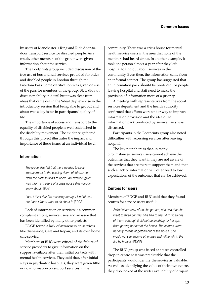by users of Manchester's Ring and Ride door-todoor transport service for disabled people. As a result, other members of the group were given information about the service.

The Footprints group included discussion of the free use of bus and rail services provided for older and disabled people in London through the Freedom Pass. Some clarification was given on use of the pass for members of the group. BUG did not discuss mobility in detail but it was clear from ideas that came out in the 'ideal day' exercise in the introductory session that being able to get out and about was a key issue in participants' quality of life.

The importance of access and transport to the equality of disabled people is well established in the disability movement. The evidence gathered through this project illustrates the impact and importance of these issues at an individual level.

#### **Information**

The group also felt that there needed to be an improvement in the passing down of information from the professionals to users. An example given was informing users of a crisis house that nobody knew about. (BUG)

I don't think that I'm receiving the right kind of care but I don't know what to do about it. (EDGE)

Lack of information on services is a common complaint among service users and an issue that has been identified by many other projects.

EDGE found a lack of awareness on services like dial-a-ride, Care and Repair, and its own home care service.

Members of BUG were critical of the failure of service providers to give information on the support available after their initial contacts with mental health services. They said that, after initial stays in psychiatric hospitals, they were given little or no information on support services in the

community. There was a crisis house for mental health service users in the area that none of the members had heard about. In another example, it took one person almost a year after they left hospital to find out about services in the community. Even then, the information came from an informal contact. The group has suggested that an information pack should be produced for people leaving hospital and staff need to make the provision of information more of a priority.

A meeting with representatives from the social services department and the health authority confirmed that efforts were under way to improve information provision and the idea of an information pack produced by service users was discussed.

Participants in the Footprints group also noted difficulties with accessing services after leaving hospital.

The key point here is that, in many circumstances, service users cannot achieve the outcomes that they want if they are not aware of the services that are there to support them and that such a lack of information will often lead to low expectations of the outcomes that can be achieved.

# **Centres for users**

Members of EDGE and BUG said that they found centres for service users useful:

Asked about how often she got out, she said that she went to three centres. She had to pay £4 to go to one of them, although it did not do anything for her apart from getting her out of the house. The centres were her only means of getting out of the house. She would not see anyone otherwise and felt lonely in the flat by herself. (EDGE)

The BUG group was based at a user-controlled drop-in centre so it was predictable that the participants would identify the service as valuable. As well as identifying the value of their own centre, they also looked at the wider availability of drop-in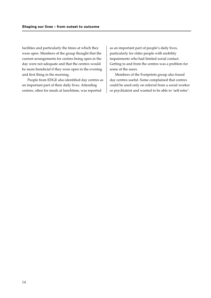facilities and particularly the times at which they were open. Members of the group thought that the current arrangements for centres being open in the day were not adequate and that the centres would be more beneficial if they were open in the evening and first thing in the morning.

People from EDGE also identified day centres as an important part of their daily lives. Attending centres, often for meals at lunchtime, was reported

as an important part of people's daily lives, particularly for older people with mobility impairments who had limited social contact. Getting to and from the centres was a problem for some of the users.

Members of the Footprints group also found day centres useful. Some complained that centres could be used only on referral from a social worker or psychiatrist and wanted to be able to 'self-refer'.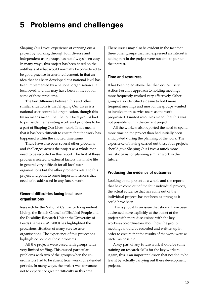Shaping Our Lives' experience of carrying out a project by working through four diverse and independent user groups has not always been easy. In many ways, this project has been based on the antithesis of what would normally be considered to be good practice in user involvement, in that an idea that has been developed at a national level has been implemented by a national organisation at a local level, and this may have been at the root of some of these problems.

The key difference between this and other similar situations is that Shaping Our Lives is a national user-controlled organisation, though this by no means meant that the four local groups had to put aside their existing work and priorities to be a part of Shaping Our Lives' work. It has meant that it has been difficult to ensure that the work has happened within the allotted timeframe.

There have also been several other problems and challenges across the project as a whole that need to be recorded in this report. The first of these problems related to external factors that make life in general very difficult for all local user organisations but the other problems relate to this project and point to some important lessons that need to be addressed in any future work.

# **General difficulties facing local user organisations**

Research by the National Centre for Independent Living, the British Council of Disabled People and the Disability Research Unit at the University of Leeds (Barnes *et al*., 2000) has highlighted the precarious situation of many service user organisations. The experience of this project has highlighted some of these problems.

All the projects were based with groups with very limited staffing. This caused particular problems with two of the groups when the coordinators had to be absent from work for extended periods. In many ways, the project was fortunate not to experience greater difficulty in this area.

These issues may also be evident in the fact that three other groups that had expressed an interest in taking part in the project were not able to pursue the interest.

## **Time and resources**

It has been noted above that the Service Users' Action Forum's approach to holding meetings more frequently worked very effectively. Other groups also identified a desire to hold more frequent meetings and most of the groups wanted to involve more service users as the work progressed. Limited resources meant that this was not possible within the current project.

All the workers also reported the need to spend more time on the project than had initially been anticipated during the planning of the work. The experience of having carried out these four projects should give Shaping Our Lives a much more realistic basis for planning similar work in the future.

### **Producing the evidence of outcomes**

Looking at the project as a whole and the reports that have come out of the four individual projects, the actual evidence that has come out of the individual projects has not been as strong as it could have been.

This is probably an issue that should have been addressed more explicitly at the outset of the project with more discussions with the key workers/co-ordinators about how the group meetings should be recorded and written up in order to ensure that the results of the work were as useful as possible.

A key part of any future work should be some training on research skills for the key workers. Again, this is an important lesson that needed to be learnt by actually carrying out these development projects.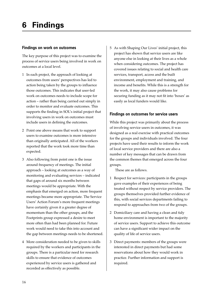### **Findings on work on outcomes**

The key purpose of this project was to examine the process of service users being involved in work on outcomes at a local level.

- 1 In each project, the approach of looking at outcomes from users' perspectives has led to action being taken by the groups to influence those outcomes. This indicates that user-led work on outcomes needs to include scope for action – rather than being carried out simply in order to monitor and evaluate outcomes. This supports the finding in SOL's initial project that involving users in work on outcomes must include users in defining the outcomes.
- 2 Point one above means that work to support users to examine outcomes is more intensive than originally anticipated. All of the workers reported that the work took more time than expected.
- 3 Also following from point one is the issue around frequency of meetings. The initial approach – looking at outcomes as a way of monitoring and evaluating services – indicated that gaps of around six months between meetings would be appropriate. With the emphasis that emerged on action, more frequent meetings became more appropriate. The Service Users' Action Forum's more frequent meetings have certainly given it a greater degree of momentum than the other groups, and the Footprints group expressed a desire to meet more often than had been planned for. Future work would need to take this into account and the gap between meetings needs to be shortened.
- 4 More consideration needed to be given to skills required by the workers and participants in the groups. There is a particular need for research skills to ensure that evidence of outcomes experienced by service users is gathered and recorded as effectively as possible.

5 As with Shaping Our Lives' initial project, this project has shown that service users are like anyone else in looking at their lives as a whole when considering outcomes. The project has covered issues relating to social and health care services, transport, access and the built environment, employment and training, and income and benefits. While this is a strength for the work, it may also cause problems for securing funding as it may not fit into 'boxes' as easily as local funders would like.

# **Findings on outcomes for service users**

While this project was primarily about the process of involving service users in outcomes, it was designed as a real exercise with practical outcomes for the groups and individuals involved. The four projects have used their results to inform the work of local service providers and there are also a number of key messages that can be drawn from the common themes that emerged across the four groups.

These are as follows.

- 1 Respect for services: participants in the groups gave examples of their experiences of being treated without respect by service providers. The groups themselves provided further evidence of this, with social services departments failing to respond to approaches from two of the groups.
- 2 Domiciliary care and having a clean and tidy home environment is important to the majority of service users. Support to achieve this outcome can have a significant wider impact on the quality of life of service users.
- 3 Direct payments: members of the groups were interested in direct payments but had some reservations about how they would work in practice. Further information and support is required.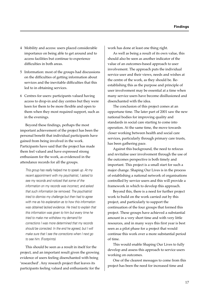- 4 Mobility and access: users placed considerable importance on being able to get around and to access facilities but continue to experience difficulties in both areas.
- 5 Information: most of the groups had discussions on the difficulties of getting information about services and the inevitable difficulties that this led to in obtaining services.
- 6 Centres for users: participants valued having access to drop-in and day centres but they were keen for them to be more flexible and open to them when they most required support, such as in the evenings.

Beyond these findings, perhaps the most important achievement of the project has been the personal benefit that individual participants have gained from being involved in the work. Participants have said that the project has made them feel valued and have expressed strong enthusiasm for the work, as evidenced in the attendance records for all the groups.

This group has really helped me to speak up. At my recent appointment with my psychiatrist, I asked to see my records and noticed that some of the information on my records was incorrect, and asked that such information be removed. The psychiatrist tried to dismiss my challenge but then had to agree with me as his explanation as to how this information was obtained lacked evidence. He tried to explain that this information was given to him but every time he tried to make me withdraw my demand for corrections I was more determined that my records should be corrected. In the end he agreed, but I will make sure that I see the corrections when I next go to see him. (Footprints)

This should be seen as a result in itself for the project, and an important result given the growing evidence of users feeling disenchanted with being 'researched'. Any research project that leaves its participants feeling valued and enthusiastic for the work has done at least one thing right.

As well as being a result of its own value, this should also be seen as another indicator of the value of an outcomes-based approach to user involvement. The approach puts the individual service user and their views, needs and wishes at the centre of the work, as they should be. Reestablishing this as the purpose and principle of user involvement may be essential at a time when many service users have become disillusioned and disenchanted with the idea.

The conclusion of this project comes at an opportune time. The later part of 2001 saw the new national bodies for improving quality and standards in social care starting to come into operation. At the same time, the move towards closer working between health and social care services, particularly through primary care trusts, has been gathering pace.

Against this background, the need to refocus and revitalise user involvement through the use of the outcomes perspective is both timely and important. This project is a small start for such a major change. Shaping Our Lives is in the process of establishing a national network of organisations controlled by service users and this will provide a framework in which to develop this approach.

Beyond this, there is a need for further project work to build on the work carried out by this project, and particularly to support the continuation of the four groups that formed this project. These groups have achieved a substantial amount in a very short time and with very little resources, and in many ways this first year is best seen as a pilot phase for a project that would continue this work over a more substantial period of time.

This would enable Shaping Our Lives to fully develop and assess this approach to service users working on outcomes.

One of the clearest messages to come from this project has been the need for increased time and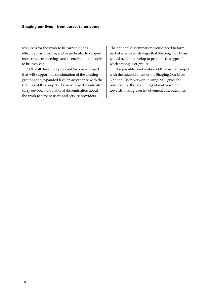resources for the work to be carried out as effectively as possible, and in particular to support more frequent meetings and to enable more people to be involved.

SOL will develop a proposal for a new project that will support the continuation of the existing groups at an expanded level in accordance with the findings of this project. The new project would also carry out local and national dissemination about the work to service users and service providers.

The national dissemination would need to form part of a national strategy that Shaping Our Lives would need to develop to promote this type of work among user groups.

The possible combination of this further project with the establishment of the Shaping Our Lives National User Network during 2002 gives the potential for the beginnings of real movement towards linking user involvement and outcomes.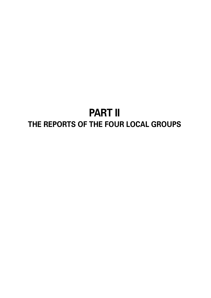# **PART II THE REPORTS OF THE FOUR LOCAL GROUPS**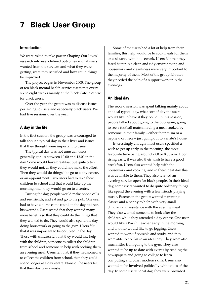#### **Introduction**

We were asked to take part in Shaping Our Lives' research into user-defined outcomes – what users wanted from the services and what they were getting, were they satisfied and how could things be improved.

The project began in November 2000. The group of ten black mental health service users met every six to eight weeks mainly at the Black Cafe, a centre for black users.

Over the year, the group was to discuss issues pertaining to users and especially black users. We had five sessions over the year.

### **A day in the life**

In the first session, the group was encouraged to talk about a typical day in their lives and issues that they thought were important to users.

The typical day was not unusual; users generally got up between 10.00 and 12.00 in the day. Some would have breakfast but quite often they would not, as they could not make the effort. Then they would do things like go to a day centre, or an appointment. Two users had to take their children to school and that would take up the morning, then they would go on to a centre.

During the day, people would make phone calls and see friends, and eat and go to the pub. One user had to have a nurse come round in the day to dress his wounds. Users stated that they wanted many more benefits so that they could do the things that they wanted to do. They would also spend the day doing housework or going to the gym. Users felt that it was important to be occupied in the day. Those with children felt that they would like help with the children, someone to collect the children from school and someone to help with cooking them an evening meal. Users felt that, if they had someone to collect the children from school, then they could spend longer at a day centre. None of the users felt that their day was a waste.

Some of the users had a lot of help from their families; this help would be to cook meals for them or assistance with housework. Users felt that they fared better in a clean and tidy environment, and housework and cleanliness were very important to the majority of them. Most of the group felt that they needed the help of a support worker in the evenings.

#### **An ideal day**

The second session was spent talking mainly about an ideal typical day, what sort of day the users would like to have if they could. In this session, people talked about going to the pub again, going to see a football match, having a meal cooked by someone in their family – either their mum or a nephew or niece – just going out to a mate's house.

Interestingly enough, most users specified a wish to get up early in the morning, the most favourite time being around 7.00 or 8.00 a.m. Upon rising early, it was also their wish to have a good breakfast. Users also wanted help with the housework and cooking, and in their ideal day this was available to them. They also wanted an evening service open for black people. In their ideal day, some users wanted to do quite ordinary things like spend the evening with a few friends playing music. Parents in the group wanted parenting classes and a nanny to help with very small children and assistance with the evening meal. They also wanted someone to look after the children while they attended a day centre. One user would like a t'ai chi teacher early in the morning and another would like to go jogging. Users wanted to work if possible and study, and they were able to do this in an ideal day. They were also much fitter from going to the gym. They also wanted to be up to date with events by reading the newspapers and going to college to learn computing and other modern skills. Users also wanted to be involved politically with issues of the day. In some users' ideal day, they were provided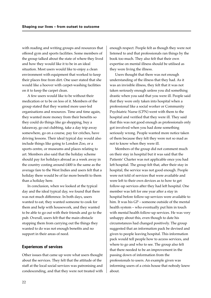with reading and writing groups and resources that offered gym and sports facilities. Some members of the group talked about the state of where they lived and how they would like it to be in an ideal situation. Most users would like to enjoy a clean environment with equipment that worked to keep their places free from dirt. One user stated that she would like a hoover with carpet-washing facilities on it to keep the carpet clean.

A few users would like to be without their medication or to be on less of it. Members of the group stated that they wanted more user-led organisations and resources. Time and time again, they wanted more money from their benefits so they could do things like go shopping, buy a takeaway, go out clubbing, take a day trip away somewhere, go on a course, pay for crèches, have driving lessons. Their ideal typical day would also include things like going to London Zoo, or a sports centre, or museums and places relating to art. Members also said that the holiday scheme should pay for holidays abroad as a week away in the country costing around £400 is the same as the average fare to the West Indies and users felt that a holiday there would be of far more benefit to them than a holiday here.

In conclusion, when we looked at the typical day and the ideal typical day, we found that there was not much difference. In both days, users wanted to eat, they wanted someone to cook for them and help with housework, and they wanted to be able to go out with their friends and go to the pub. Overall, users felt that the main obstacle stopping them from carrying out the things they wanted to do was not enough benefits and no support in their areas of need.

#### **Experiences of services**

Other issues that came up were what users thought about the services. They felt that the attitude of the staff at the local social services was patronising and condescending, and that they were not treated with enough respect. People felt as though they were not listened to and that professionals ran things by the book too much. They also felt that their own expertise on mental illness should be utilised as they were living the illness.

Users thought that there was not enough understanding of the illness that they had. As it was an invisible illness, they felt that it was not taken seriously enough unless you did something drastic when you said that you were ill. People said that they were only taken into hospital when a professional like a social worker or Community Psychiatric Nurse (CPN) went with them to the hospital and verified that they were ill. They said that this was not good enough as professionals only got involved when you had done something seriously wrong. People wanted more notice taken of them because they felt they were not so mad as not to know when they were ill.

Members of the group did not comment much on their stay in hospital but it was said that the Patients' Charter was not applicable once you had left hospital. The group felt that, after their stay in hospital, the service was not good enough. People were not told of services that were available and were left to their own devices as to how to get follow-up services after they had left hospital. One member was left for one year after a stay in hospital before follow-up services were available to him. It was his GP – someone outside of the mental health system – who eventually put him in touch with mental health follow-up services. He was very unhappy about this, even though to date his circumstances had changed positively. The group suggested that an information pack be devised and given to people leaving hospital. This information pack would tell people how to access services, and where to go and who to see. The group also felt that there needed to be an improvement in the passing down of information from the professionals to users. An example given was informing users of a crisis house that nobody knew about.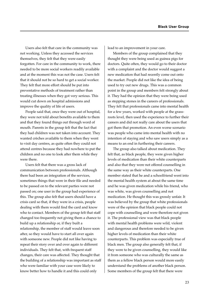Users also felt that care in the community was not working. Unless they accessed the services themselves, they felt that they were easily forgotten. For care in the community to work, there needed to be more social workers readily available and at the moment this was not the case. Users felt that it should not be so hard to get a social worker. They felt that more effort should be put into preventative methods of treatment rather than treating illnesses when they got very serious. This would cut down on hospital admissions and improve the quality of life of users.

People said that, once they were out of hospital, they were not told about benefits available to them and that they found things out through word of mouth. Parents in the group felt that the fact that they had children was not taken into account. They wanted crèches available to them when they went to visit day centres, as quite often they could not attend centres because they had nowhere to put the children and no one to look after them while they were there.

Users felt that there was a gross lack of communication between professionals. Although there had been an integration of the services, sometimes things that were in their file and needed to be passed on to the relevant parties were not passed on; one user in the group had experience of this. The group also felt that users should have a crisis card so that, if they were in a crisis, people dealing with them would find the card and know who to contact. Members of the group felt that staff changed too frequently not giving them a chance to build up a relationship or, if they built a relationship, the member of staff would leave soon after, so they would have to start all over again with someone new. People did not like having to repeat their story over and over again to different individuals. They felt that, with frequent staff changes, their care was affected. They thought that the building of a relationship was important as staff who were familiar with your case were likely to know better how to handle it and this could only

lead to an improvement in your care.

Members of the group complained that they thought they were being used as guinea pigs for doctors. Quite often, they would go to their doctor with a complaint and the doctor would suggest a new medication that had recently come out onto the market. People did not like the idea of being used to try out new drugs. This was a common point in the group and members felt strongly about it. They had the opinion that they were being used as stepping stones in the careers of professionals. They felt that professionals came into mental health for a few years, worked with people at the grassroots level, then used the experience to further their careers and did not really care about the users that got them that promotion. An even worse scenario was people who came into mental health with no intention of staying and who saw users simply as a means to an end in furthering their careers.

The group also talked about medication. They felt that, as black people, they were given higher levels of medication than their white counterparts and also that they were not offered counselling in the same way as their white counterparts. One member stated that he and a schoolfriend went into the mental health system at about the same time and he was given medication while his friend, who was white, was given counselling and not medication. He thought this was grossly unfair. It was believed by the group that white professionals were of the opinion that black people could not cope with counselling and were therefore not given it. The professional view was that black people with mental health problems were wild, violent and dangerous and therefore needed to be given higher levels of medication than their white counterparts. This problem was especially true of black men. The group also generally felt that, if they were to be given counselling, they would like it from someone who was culturally the same as them as a fellow black person would more easily understand the problems of another black person. Some members of the group felt that there were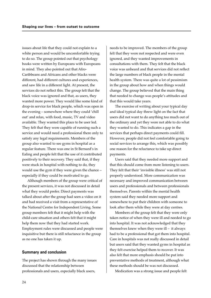issues about life that they could not explain to a white person and would be uncomfortable trying to do so. The group pointed out that psychology books were written by Europeans with Europeans in mind. They also pointed out that Afro-Caribbeans and Africans and other blacks were different, had different cultures and experiences, and saw life in a different light. At present, the services do not reflect this. The group felt that the black voice was ignored and that, as users, they wanted more power. They would like some kind of drop-in service for black people, which was open in the evening – somewhere where they could 'chill out' and relax, with food, music, TV and video available. They wanted this place to be user led. They felt that they were capable of running such a service and would need a professional there only to satisfy any legal requirements. Members of the group also wanted to see gyms in hospital as a regular feature. There was one in St Bernard's in Ealing and people felt that the use of it contributed positively to their recovery. They said that, if they were stuck in hospital with nothing to do, they would use the gym if they were given the chance – especially if they could be motivated to go.

Although members of the group were critical of the present services, it was not discussed in detail what they would prefer. Direct payments was talked about after the group had seen a video on it and had received a visit from a representative of the National Centre for Independent Living. Some group members felt that it might help with the child-care situation and others felt that it might help them now that they had started work. Employment rules were discussed and people were inquisitive but there is still reluctance in the group as no one has taken it up.

#### **Summary and conclusion**

The project has shown through the many issues discussed that the relationship between professionals and users, especially black users,

needs to be improved. The members of the group felt that they were not respected and were even ignored, and they wanted improvements in consultations with them. They felt that the black voice was unheard and that services did not reflect the large numbers of black people in the mental health system. There was quite a lot of pessimism in the group about how and when things would change. The group believed that the main thing that needed to change was people's attitudes and that this would take years.

The exercise of writing about your typical day and ideal typical day threw light on the fact that users did not want to do anything too much out of the ordinary and yet they were not able to do what they wanted to do. This indicates a gap in the services that perhaps direct payments could fill. However, people did not feel comfortable going to social services to arrange this, which was possibly one reason for the reluctance to take up direct payments.

Users said that they needed more support and that this should come from more listening to users. They felt that their 'invisible illness' was still not properly understood. More communication was necessary and improved communication between users and professionals and between professionals themselves. Parents within the mental health system said they needed more support and somewhere to put their children with someone to look after them while they were at day centres.

Members of the group felt that they were only taken notice of when they were ill and needed to go into hospital. It was not acknowledged that they themselves knew when they were ill – it always had to be a professional that got them into hospital. Care in hospitals was not really discussed in detail but users said that they wanted gyms in hospital as they felt exercise helped them to recover. It was also felt that more emphasis should be put into preventative methods of treatment, although what these methods should be was not discussed.

Medication was a strong issue and people felt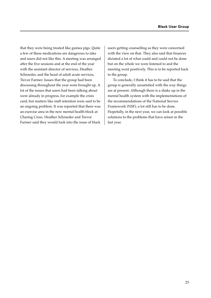that they were being treated like guinea pigs. Quite a few of these medications are dangerous to take and users did not like this. A meeting was arranged after the five sessions and at the end of the year with the assistant director of services, Heather Schroeder, and the head of adult acute services, Trevor Farmer. Issues that the group had been discussing throughout the year were brought up. A lot of the issues that users had been talking about were already in progress, for example the crisis card, but matters like staff retention were said to be an ongoing problem. It was reported that there was an exercise area in the new mental health block at Charing Cross. Heather Schroeder and Trevor Farmer said they would look into the issue of black

users getting counselling as they were concerned with the view on that. They also said that finances dictated a lot of what could and could not be done but on the whole we were listened to and the meeting went positively. This is to be reported back to the group.

To conclude, I think it has to be said that the group is generally unsatisfied with the way things are at present. Although there is a shake up in the mental health system with the implementations of the recommendations of the National Service Framework (NSF), a lot still has to be done. Hopefully, in the next year, we can look at possible solutions to the problems that have arisen in the last year.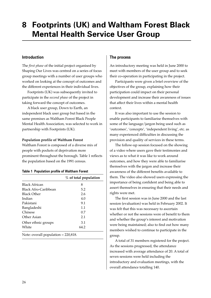# **8 Footprints (UK) and Waltham Forest Black Mental Health Service User Group**

# **Introduction**

The *first phase* of the initial project organised by Shaping Our Lives was centred on a series of focus group meetings with a number of user groups who worked on looking at the concept of outcomes and the different experiences in their individual lives.

Footprints (UK) was subsequently invited to participate in the *second phase* of the project in taking forward the concept of outcomes.

A black user group, Down to Earth, an independent black user group but based in the same premises as Waltham Forest Black People Mental Health Association, was selected to work in partnership with Footprints (UK).

#### **Population profile of Waltham Forest**

Waltham Forest is composed of a diverse mix of people with pockets of deprivation more prominent throughout the borough. Table 1 reflects the population based on the 1991 census.

| Table 1 Population profile of Waltham Forest |  |  |
|----------------------------------------------|--|--|
|                                              |  |  |

|                      | % of total population |
|----------------------|-----------------------|
| Black African        | 8                     |
| Black Afro-Caribbean | 5.2                   |
| <b>Black Other</b>   | 2.6                   |
| Indian               | 4.0                   |
| Pakistani            | 9.1                   |
| Bangladeshi          | 1.1                   |
| Chinese              | 0.7                   |
| Other Asian          | 2.1                   |
| Other ethnic groups  | 3.1                   |
| White                | 64.2                  |

Note: overall population  $= 220,818$ .

# **The process**

An introductory meeting was held in June 2000 to meet with members of the user group and to seek their co-operation in participating in the project.

Participants were given a brief overview of the objectives of the group, explaining how their participation could impact on their personal development and increase their awareness of issues that affect their lives within a mental health context.

It was also important to use the session to enable participants to familiarise themselves with some of the language/jargon being used such as 'outcomes', 'concepts', 'independent living', etc. as many experienced difficulties in discussing the provision and quality of services in these terms.

The follow-up session focused on the showing of a video where users gave their testimonies and views as to what it was like to work around outcomes, and how they were able to familiarise themselves with the jargon and increase their awareness of the different benefits available to them. The video also showed users expressing the importance of being confident and being able to assert themselves in ensuring that their needs and rights were met.

The first session was in June 2000 and the last session (evaluation) was held in February 2002. It was felt that this was necessary to ascertain whether or not the sessions were of benefit to them and whether the group's interest and motivation were being maintained; also to find out how many members wished to continue to participate in the group.

A total of 31 members registered for the project. As the sessions progressed, the attendance increased with average attendance of 20. A total of seven sessions were held including the introductory and evaluation meetings, with the overall attendance totalling 140.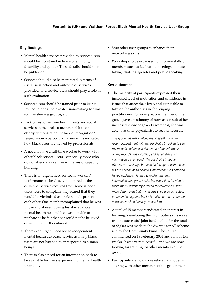# **Key findings**

- Mental health services provided to service users should be monitored in terms of ethnicity, disability and gender. These details should then be published.
- Services should also be monitored in terms of users' satisfaction and outcome of services provided, and service users should play a role in such evaluation.
- Service users should be trained prior to being invited to participate in decision-making forums such as steering groups, etc.
- Lack of response from health trusts and social services in the project: members felt that this clearly demonstrated the lack of recognition/ respect shown by policy-makers – this indicated how black users are treated by professionals.
- A need to have a full-time worker to work with other black service users – especially those who do not attend day centres – in terms of capacity building.
- There is an urgent need for social workers' performance to be closely monitored as the quality of service received from some is poor. If users were to complain, they feared that they would be victimised as professionals protect each other. One member complained that he was physically abused during his stay at a local mental health hospital but was not able to retaliate as he felt that he would not be believed or would be further abused.
- There is an urgent need for an independent mental health advocacy service as many black users are not listened to or respected as human beings.
- There is also a need for an information pack to be available for users experiencing mental health problems.
- Visit other user groups to enhance their networking skills.
- Workshops to be organised to improve skills of members such as facilitating meetings, minute taking, drafting agendas and public speaking.

# **Key outcomes**

• The majority of participants expressed their increased level of motivation and confidence in issues that affect their lives, and being able to take on the authorities in challenging practitioners. For example, one member of the group gave a testimony of how, as a result of her increased knowledge and awareness, she was able to ask her psychiatrist to see her records:

This group has really helped me to speak up. At my recent appointment with my psychiatrist, I asked to see my records and noticed that some of the information on my records was incorrect, and asked that such information be removed. The psychiatrist tried to dismiss my challenge but then had to agree with me as his explanation as to how this information was obtained lacked evidence. He tried to explain that this information was given to him but every time he tried to make me withdraw my demand for corrections I was more determined that my records should be corrected. In the end he agreed, but I will make sure that I see the corrections when I next go to see him.

- A total of 15 members indicated an interest in learning/developing their computer skills – as a result a successful joint funding bid for the total of £5,000 was made to the Awards for All scheme run by the Community Fund. The course commenced on 18 February 2002 and ran for ten weeks. It was very successful and we are now looking for training for other members of the group.
- Participants are now more relaxed and open in sharing with other members of the group their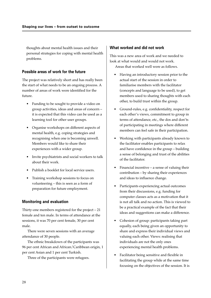thoughts about mental health issues and their personal strategies for coping with mental health problems.

### **Possible areas of work for the future**

The project was relatively short and has really been the start of what needs to be an ongoing process. A number of areas of work were identified for the future.

- Funding to be sought to provide a video on group activities, ideas and areas of concern – it is expected that this video can be used as a learning tool for other user groups.
- Organise workshops on different aspects of mental health, e.g. coping strategies and recognising when one is becoming unwell. Members would like to share their experiences with a wider group.
- Invite psychiatrists and social workers to talk about their work.
- Publish a booklet for local service users.
- Training workshop sessions to focus on volunteering – this is seen as a form of preparation for future employment.

# **Monitoring and evaluation**

Thirty-one members registered for the project – 21 female and ten male. In terms of attendance at the sessions, it was 70 per cent female, 30 per cent male.

There were seven sessions with an average attendance of 30 people.

The ethnic breakdown of the participants was 96 per cent African and African/Caribbean origin, 1 per cent Asian and 1 per cent Turkish.

Three of the participants were refugees.

## **What worked and did not work**

This was a new area of work and we needed to look at what would and would not work.

Areas that worked well were as follows.

- Having an introductory session prior to the actual start of the session in order to familiarise members with the facilitator (concepts and language to be used), to get members used to sharing thoughts with each other, to build trust within the group.
- Ground-rules, e.g. confidentiality, respect for each other's views, commitment to group in terms of attendance, etc., the dos and don'ts of participating in meetings where different members can feel safe in their participation.
- Working with participants already known to the facilitator enables participants to relax and have confidence in the group – building a sense of belonging and trust of the abilities of the facilitator.
- Financial incentive a sense of valuing their contribution – by sharing their experiences and ideas to influence change.
- Participants experiencing actual outcomes from their discussions, e.g. funding for computer classes acts as a motivation that it is not all talk and no action. This is viewed to be a practical example of the fact that their ideas and suggestions can make a difference.
- Cohesion of group: participants taking part equally, each being given an opportunity to share and express their individual views and valuing each other. Views: realising that individuals are not the only ones experiencing mental health problems.
- Facilitator being sensitive and flexible in facilitating the group while at the same time focusing on the objectives of the session. It is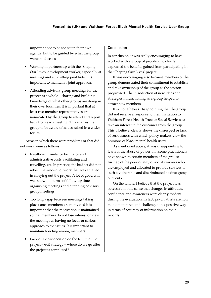important not to be too set in their own agenda, but to be guided by what the group wants to discuss.

- Working in partnership with the 'Shaping Our Lives' development worker, especially at meetings and submitting joint bids. It is important to maintain a joint approach.
- Attending advisory group meetings for the project as a whole – sharing and building knowledge of what other groups are doing in their own localities. It is important that at least two member representatives are nominated by the group to attend and report back from each meeting. This enables the group to be aware of issues raised in a wider forum.

Areas in which there were problems or that did not work were as follows.

- Insufficient funds for facilitator and administrative costs, facilitating and travelling, etc. In practice, the budget did not reflect the amount of work that was entailed in carrying out the project. A lot of good will was shown in terms of follow-up time, organising meetings and attending advisory group meetings.
- Too long a gap between meetings taking place: once members are motivated it is important that the motivation is maintained so that members do not lose interest or view the meetings as having no focus or serious approach to the issues. It is important to maintain bonding among members.
- Lack of a clear decision on the future of the project – exit strategy – where do we go after the project is completed?

#### **Conclusion**

In conclusion, it was really encouraging to have worked with a group of people who clearly expressed the benefits gained from participating in the 'Shaping Our Lives' project.

It was encouraging also because members of the group demonstrated their commitment to establish and take ownership of the group as the session progressed. The introduction of new ideas and strategies in functioning as a group helped to attract new members.

It is, nonetheless, disappointing that the group did not receive a response to their invitation to Waltham Forest Health Trust or Social Services to take an interest in the outcomes from the group. This, I believe, clearly shows the disrespect or lack of seriousness with which policy-makers view the opinions of black mental health users.

As mentioned above, it was disappointing to learn of the abuse of power that some practitioners have shown to certain members of the group; further, of the poor quality of social workers who are employed and allocated to provide services to such a vulnerable and discriminated against group of clients.

On the whole, I believe that the project was successful in the sense that changes in attitudes, confidence and awareness were clearly evident during the evaluation. In fact, psychiatrists are now being monitored and challenged in a positive way in terms of accuracy of information on their records.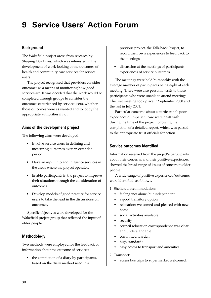### **Background**

The Wakefield project arose from research by Shaping Our Lives, which was interested in the development of work looking at the outcomes of health and community care services for service users.

The project recognised that providers consider outcomes as a means of monitoring how good services are. It was decided that the work would be completed through groups to consider the outcomes experienced by service users, whether those outcomes were as wanted and to lobby the appropriate authorities if not.

## **Aims of the development project**

The following aims were developed.

- Involve service users in defining and measuring outcomes over an extended period.
- Have an input into and influence services in the areas where the project operates.
- Enable participants in the project to improve their situations through the consideration of outcomes.
- Develop models of good practice for service users to take the lead in the discussions on outcomes.

Specific objectives were developed for the Wakefield project group that reflected the input of older people.

# **Methodology**

Two methods were employed for the feedback of information about the outcome of services:

• the completion of a diary by participants, based on the diary method used in a

previous project, the Talk-back Project, to record their own experiences to feed back to the meetings

• discussion at the meetings of participants' experiences of service outcomes.

The meetings were held bi-monthly with the average number of participants being eight at each meeting. There were also personal visits to those participants who were unable to attend meetings. The first meeting took place in September 2000 and the last in July 2001.

Particular concerns about a participant's poor experience of in-patient care were dealt with during the time of the project following the completion of a detailed report, which was passed to the appropriate trust officials for action.

#### **Service outcomes identified**

Information received from the project's participants about their concerns, and their positive experiences, showed the broad range of issues of concern to older people.

A wide-range of positive experiences/outcomes were identified, as follows.

- 1 Sheltered accommodation:
	- feeling 'not alone, but independent'
	- a good transitory option
	- relocation: welcomed and pleased with new home
	- social activities available
	- security
	- council relocation correspondence was clear and understandable
	- committed warden
	- high standards
	- easy access to transport and amenities.
- 2 Transport:
	- access bus trips to supermarket welcomed.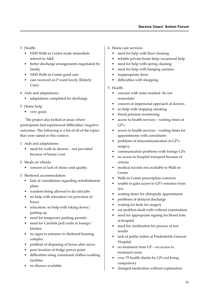### 3 Health:

- NHS Walk-in Centre made immediate referral to A&E
- better discharge arrangements negotiated by family
- NHS Walk-in Centre good care
- care received on P ward lovely (Elderly Care).
- 4 Aids and adaptations:
	- adaptations completed for discharge.
- 5 Home help:
	- very good.

The project also looked at areas where participants had experienced difficulties/negative outcomes. The following is a list of all of the topics that were raised in this context.

- 1 Aids and adaptations:
	- need for walk-in shower not provided because of house/cost.
- 2 Meals on wheels:
	- concern at lack of choice and quality.
- 3 Sheltered accommodation:
	- lack of consultation regarding refurbishment plans
	- wardens being allowed to do odd jobs
	- no help with relocation/no provision of boxes
	- relocation: no help with taking down/ putting up
	- need for temporary parking permits
	- need for Carelink pull cords in lounge/ kitchen
	- no signs to entrance to sheltered housing complex
	- problem of disposing of boxes after move
	- poor location of fridge power point
	- difficulties using communal clothes-washing facilities
	- no shower available.
- 4 Home care services:
	- need for help with floor cleaning
	- reliable private home help/occasional help
	- need for help with spring cleaning
	- need for help with hanging curtains
	- inappropriate dress
	- difficulties with shopping.
- 5 Health:
	- concern with notes marked 'do not resuscitate'
	- concern at impersonal approach of doctors
	- no help with stopping smoking
	- blood pressure monitoring
	- access to health services waiting times at GP's
	- access to health services waiting times for appointments with consultants
	- problems of miscommunication in GP's surgery
	- communication problems with foreign GPs
	- no access to hospital transport because of criteria
	- medical records not available to Walk-in Centre
	- Walk-in Centre prescription concerns
	- unable to gain access to GP's entrance from taxi
	- waiting times for chiropody appointment
	- problems of delayed discharge
	- waiting for beds for surgery
	- ear problem dealt with without examination
	- need for appropriate signing for blood tests at hospital
	- need for clarification for process of test results
	- lack of public toilets at Pinderfields General Hospital
	- no treatment from GP no access to treatment room
	- over 75 health checks by GPs not being compulsory
	- changed medication without explanation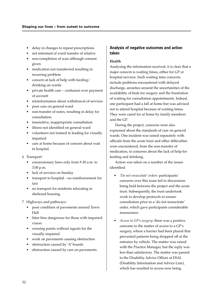- delay in changes to repeat prescriptions
- not informed of ward transfer of relative
- non-completion of scan although consent given
- medication not transferred resulting in recurring problem
- concern at lack of help with feeding/ drinking on wards
- private health care confusion over payment of account
- misinformation about withdrawal of services
- poor care on general ward
- non-transfer of notes, resulting in delay for consultation
- insensitive, inappropriate consultation
- illness not identified on general ward
- volunteers not trained in leading for visually impaired
- care at home because of concern about wait in hospital.
- 6 Transport:
	- concessionary fares only from 9.30 a.m. to 3.00 p.m.
	- lack of services on Sunday
	- transport to hospital no reimbursement for taxi
	- no transport for residents relocating in sheltered housing.
- 7 Highways and pathways:
	- poor condition of pavements around Town Hall
	- litter bins dangerous for those with impaired vision
	- crossing points without signals for the visually impaired
	- work on pavements causing obstruction
	- obstruction caused by 'A' boards
	- obstruction caused by cars on pavements.

# **Analysis of negative outcomes and action taken**

#### **Health**

Analysing the information received, it is clear that a major concern is waiting times, either for GP or hospital services. Such waiting time concerns include problems encountered with delayed discharge, anxieties around the uncertainties of the availability of beds for surgery and the frustration of waiting for consultation appointments. Indeed, one participant had a fall at home but was advised not to attend hospital because of waiting times. They were cared for at home by family members and the GP.

During the project, concerns were also expressed about the standards of care on general wards. One incident was raised separately with officials from the acute trust and other difficulties were encountered, from the non-transfer of medication, to concerns about the lack of help for feeding and drinking.

Action was taken on a number of the issues identified.

- *'Do not resuscitate' orders*: participants' concerns over this issue led to discussions being held between the project and the acute trust. Subsequently, the trust undertook work to develop protocols to ensure consultation prior to a 'do not resuscitate' order, which gave participants considerable reassurance.
- *Access to GP's surgery*: there was a positive outcome to the matter of access to a GP's surgery, where a barrier had been placed that prevented patients being dropped off at the entrance by vehicle. The matter was raised with the Practice Manager, but the reply was less than satisfactory. The matter was passed to the Disability Advice Officer at DIAL (Disability Information and Advice Line), which has resulted in access now being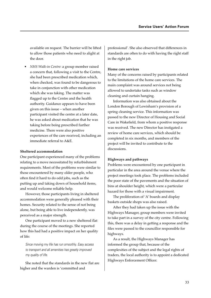available on request. The barrier will be lifted to allow those patients who need to alight at the door.

• *NHS Walk-in Centre*: a group member raised a concern that, following a visit to the Centre, she had been prescribed medication which, when checked, was found to be dangerous to take in conjunction with other medication which she was taking. The matter was flagged up to the Centre and the health authority. Guidance appears to have been given on this issue – when another participant visited the centre at a later date, he was asked about medication that he was taking before being prescribed further medicine. There were also positive experiences of the care received, including an immediate referral to A&E.

#### **Sheltered accommodation**

One participant experienced many of the problems relating to a move necessitated by refurbishment requirements. Most of the problems were similar to those encountered by many older people, who often find it hard to do odd jobs, such as the putting up and taking down of household items, and would welcome reliable help.

However, those participants living in sheltered accommodation were generally pleased with their homes. Security related to the sense of not being alone, but being able to live independently, was perceived as a major strength.

One participant moved to a new sheltered flat during the course of the meetings. She reported how this had had a positive impact on her quality of life:

Since moving my life has run smoothly. Easy access to transport and all amenities has greatly improved my quality of life.

She noted that the standards in the new flat are higher and the warden is 'committed and

professional'. She also observed that differences in standards are often to do with having the right staff in the right job.

#### **Home care services**

Many of the concerns raised by participants related to the limitations of the home care services. The main complaint was around services not being allowed to undertake tasks such as window cleaning and curtain hanging.

Information was also obtained about the London Borough of Lewisham's provision of a spring cleaning service. This information was passed to the new Director of Housing and Social Care in Wakefield, from whom a positive response was received. The new Director has instigated a review of home care services, which should be completed in six months, and members of the project will be invited to contribute to the discussions.

#### **Highways and pathways**

Problems were encountered by one participant in particular in the area around the venue where the project meetings took place. The problems included the poor state of the pavements and the situation of bins at shoulder height, which were a particular hazard for those with a visual impairment.

The proliferation of 'A' boards and display baskets outside shops was also raised.

After they had taken up the issue with the Highways Manager, group members were invited to take part in a survey of the city centre. Following this, there was a delay in getting a response and the files were passed to the councillor responsible for highways.

As a result, the Highways Manager has informed the group that, because of the complexities of the subject and the legal rights of traders, the local authority is to appoint a dedicated Highways Enforcement Officer.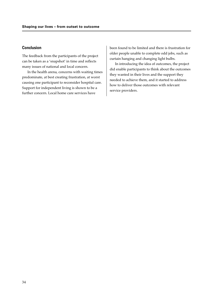#### **Conclusion**

The feedback from the participants of the project can be taken as a 'snapshot' in time and reflects many issues of national and local concern.

In the health arena, concerns with waiting times predominate, at best creating frustration, at worst causing one participant to reconsider hospital care. Support for independent living is shown to be a further concern. Local home care services have

been found to be limited and there is frustration for older people unable to complete odd jobs, such as curtain hanging and changing light bulbs.

In introducing the idea of outcomes, the project did enable participants to think about the outcomes they wanted in their lives and the support they needed to achieve them, and it started to address how to deliver those outcomes with relevant service providers.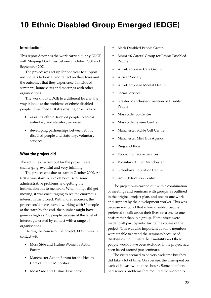# **10 Ethnic Disabled Group Emerged (EDGE)**

# **Introduction**

This report describes the work carried out by EDGE with Shaping Our Lives between October 2000 and September 2001.

The project was set up for one year to support individuals to look at and reflect on their lives and the outcomes that they experience. It included seminars, home visits and meetings with other organisations.

The work took EDGE to a different level in the way it looks at the problems of ethnic disabled people. It matched EDGE's existing objectives of:

- assisting ethnic disabled people to access voluntary and statutory services
- developing partnerships between ethnic disabled people and statutory/voluntary services.

# **What the project did**

The activities carried out for the project were challenging, eventful and very fulfilling.

The project was due to start in October 2000. At first it was slow to take off because of some administrative problems and getting the information out to members. When things did get moving, it was encouraging to see the enormous interest in the project. With more resources, the project could have started working with 80 people at the start; by the end, the number might have gone as high as 250 people because of the level of interest generated by contact with a range of organisations.

During the course of the project, EDGE was in contact with:

- Moss Side and Hulme Women's Action Forum
- Manchester Action Forum for the Health Care of Ethnic Minorities
- Moss Side and Hulme Task Force
- Black Disabled People Group
- Bibini Y6 Carers' Group for Ethnic Disabled People
- Afro-Caribbean Care Group
- African Society
- Afro-Caribbean Mental Health
- Social Services
- Greater Manchester Coalition of Disabled People
- Moss Side Job Centre
- Moss Side Leisure Centre
- Manchester Sickle Cell Centre
- Manchester Mini Bus Agency
- Ring and Ride
- Ebony Homecare Services
- Voluntary Action Manchester
- Greenhays Education Centre
- Adult Education Centre.

The project was carried out with a combination of meetings and seminars with groups, as outlined in the original project plan, and one-to-one work and support by the development worker. This was because we found that ethnic disabled people preferred to talk about their lives on a one-to-one basis rather than in a group. Home visits were made to all participants during the course of the project. This was also important as some members were unable to attend the seminars because of disabilities that limited their mobility and these people would have been excluded if the project had been based around just seminars.

The visits seemed to be very welcome but they did take a lot of time. On average, the time spent on each visit was two to three hours. Some members had serious problems that required the worker to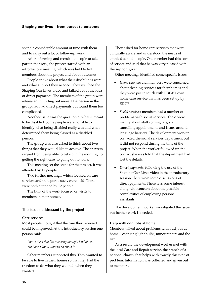spend a considerable amount of time with them and to carry out a lot of follow-up work.

After informing and recruiting people to take part in the work, the project started with an introductory meeting, which was held to tell members about the project and about outcomes.

People spoke about what their disabilities were and what support they needed. They watched the Shaping Our Lives video and talked about the idea of direct payments. The members of the group were interested in finding out more. One person in the group had had direct payments but found them too complicated.

Another issue was the question of what it meant to be disabled. Some people were not able to identify what being disabled really was and what determined them being classed as a disabled person.

The group was also asked to think about two things that they would like to achieve. The answers ranged from being able to get up in the morning, to getting the right care, to going out to work.

This meeting set the scene for the project. It was attended by 12 people.

Two further meetings, which focused on care services and transport issues, were held. These were both attended by 12 people.

The bulk of the work focused on visits to members in their homes.

#### **The issues addressed by the project**

#### **Care services**

Most people thought that the care they received could be improved. At the introductory session one person said:

I don't think that I'm receiving the right kind of care but I don't know what to do about it.

Other members supported this. They wanted to be able to live in their homes so that they had the freedom to do what they wanted, when they wanted.

They asked for home care services that were culturally aware and understood the needs of ethnic disabled people. One member had this sort of service and said that he was very pleased with the support given.

Other meetings identified some specific issues.

- *Home care*: several members were concerned about cleaning services for their homes and they were put in touch with EDGE's own home care service that has been set up by EDGE.
- *Social services*: members had a number of problems with social services. These were mainly about staff coming late, staff cancelling appointments and issues around language barriers. The development worker contacted the social services department but it did not respond during the time of the project. When the worker followed up the contact she was told that the department had lost the details.
- *Direct payments*: following the use of the Shaping Our Lives video in the introductory session, there were some discussions of direct payments. There was some interest along with concern about the possible complexities of employing personal assistants.

The development worker investigated the issue but further work is needed.

#### **Help with odd jobs at home**

Members talked about problems with odd jobs at home – changing light bulbs, minor repairs and the like.

As a result, the development worker met with the local Care and Repair service, the branch of a national charity that helps with exactly this type of problem. Information was collected and given out to members.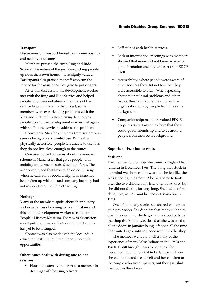#### **Transport**

Discussions of transport brought out some positive and negative outcomes.

Members praised the city's Ring and Ride Service. The nature of the service – picking people up from their own homes – was highly valued. Participants also praised the staff who run the service for the assistance they give to passengers.

After this discussion, the development worker met with the Ring and Ride Service and helped people who were not already members of the service to join it. Later in the project, some members were experiencing problems with the Ring and Ride minibuses arriving late to pick people up and the development worker met again with staff at the service to address the problem.

Conversely, Manchester's new tram system was seen as being of very limited use. While it is physically accessible, people felt unable to use it as they do not live close enough to the routes.

One user voiced concerns about the voucher scheme in Manchester that gives people with mobility impairments subsidised taxi fares. The user complained that taxis often do not turn up when he calls for or books a trip. This issue has been taken up with the taxi company but they had not responded at the time of writing.

#### **Heritage**

Many of the members spoke about their history and experiences of coming to live in Britain and this led the development worker to contact the People's History Museum. There was discussion about putting on an exhibition at EDGE but this has yet to be arranged.

Contact was also made with the local adult education institute to find out about potential opportunities.

#### **Other issues dealt with during one-to-one sessions**

• Housing: extensive support to a member in dealings with housing officers.

- Difficulties with health services.
- Lack of information: meetings with members showed that many did not know where to get information and advice apart from EDGE itself.
- Accessibility: where people were aware of other services they did not feel that they were accessible to them. When speaking about their cultural problems and other issues, they felt happier dealing with an organisation run by people from the same background.
- Companionship: members valued EDGE's drop-in sessions as somewhere that they could go for friendship and to be around people from their own background.

#### **Reports of two home visits**

#### **Visit one**

The member told of how she came to England from Jamaica in December 1966. The thing that stuck in her mind was how cold it was and she felt like she was standing in a freezer. She had come to look after the two children of a friend who had died but she did not do this for very long. She had her first child, Lyn, in 1968 and her second, Winston, in 1970.

One of the many stories she shared was about going to a shop. She didn't realise that you had to open the door in order to go in. She stood outside the shop thinking it was closed as she was used to all the doors in Jamaica being left open all the time. She waited ages until someone went into the shop.

The member went on to tell a story of the experience of many West Indians in the 1950s and 1960s. It still brought tears to her eyes. She recounted moving to a flat in Didsbury and how she went to introduce herself and her children to the couple who lived upstairs, but they just shut the door in their faces.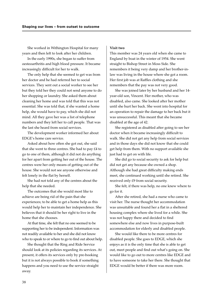She worked in Withington Hospital for many years and then left to look after her children.

In the early 1990s, she began to suffer from oesteoarthritis and high blood pressure. It became increasingly difficult for her to walk.

The only help that she seemed to get was from her doctor and he had referred her to social services. They sent out a social worker to see her but they told her they could not send anyone to do her shopping or laundry. She asked them about cleaning her home and was told that this was not essential. She was told that, if she wanted a home help, she would have to pay, which she did not mind. All they gave her was a list of telephone numbers and they left her to call people. That was the last she heard from social services.

The development worker informed her about EDGE's home care service.

Asked about how often she got out, she said that she went to three centres. She had to pay £4 to go to one of them, although it did not do anything for her apart from getting her out of the house. The centres were her only means of getting out of the house. She would not see anyone otherwise and felt lonely in the flat by herself.

She had not told any of the centres about the help that she needed.

The outcomes that she would most like to achieve are being rid of the pain that she experiences; to be able to get a home help as this would help her to maintain her independence. She believes that it should be her right to live in the home that she chooses.

At that time, she felt that no one seemed to be supporting her to be independent. Information was not readily available to her and she did not know who to speak to or where to go to find out about help.

She thought that the Ring and Ride Service should look at its policies regarding its services. At present, it offers its services only by pre-booking but it is not always possible to book if something happens and you need to use the service straight away.

#### **Visit two**

This member was 24 years old when she came to England by boat in the winter of 1954. She went straight to Bishop Street in Moss Side. She remembers it being very damp and her brother-inlaw was living in the house where she got a room. Her first job was at Raffles clothing and she remembers that the pay was not very good.

She was joined later by her husband and her 14 year-old son, Vincent. Her mother, who was disabled, also came. She looked after her mother until she hurt her back. She went into hospital for an operation to repair the damage to her back but it was unsuccessful. This meant that she became disabled at the age of 42.

She registered as disabled after going to see her doctor when it became increasingly difficult to walk. She did not get any help from social services and in those days she did not know that she could get help from them. With no support available she just had to get on with life.

She did go to social security to ask for help but did not get any because she owned a shop. Although she had great difficulty making ends meet, she continued working until she retired. She received only £9 from social security.

She felt, if there was help, no one knew where to go for it.

After she retired, she had a nurse who came to visit her. The nurse thought her accommodation was unsuitable and found her a flat in a sheltered housing complex where she lived for a while. She was not happy there and decided to find somewhere else and now lives in purpose-built accommodation for elderly and disabled people.

She would like there to be more centres for disabled people. She goes to EDGE, which she enjoys as it is the only time that she is able to get out, meet people and find out what's going on. She would like to go out to more centres like EDGE and to have someone to take her there. She thought that EDGE would be better if there was more room.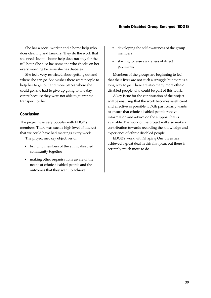She has a social worker and a home help who does cleaning and laundry. They do the work that she needs but the home help does not stay for the full hour. She also has someone who checks on her every morning because she has diabetes.

She feels very restricted about getting out and where she can go. She wishes there were people to help her to get out and more places where she could go. She had to give up going to one day centre because they were not able to guarantee transport for her.

### **Conclusion**

The project was very popular with EDGE's members. There was such a high level of interest that we could have had meetings every week.

The project met key objectives of:

- bringing members of the ethnic disabled community together
- making other organisations aware of the needs of ethnic disabled people and the outcomes that they want to achieve
- developing the self-awareness of the group members
- starting to raise awareness of direct payments.

Members of the groups are beginning to feel that their lives are not such a struggle but there is a long way to go. There are also many more ethnic disabled people who could be part of this work.

A key issue for the continuation of the project will be ensuring that the work becomes as efficient and effective as possible. EDGE particularly wants to ensure that ethnic disabled people receive information and advice on the support that is available. The work of the project will also make a contribution towards recording the knowledge and experience of ethnic disabled people.

EDGE's work with Shaping Our Lives has achieved a great deal in this first year, but there is certainly much more to do.